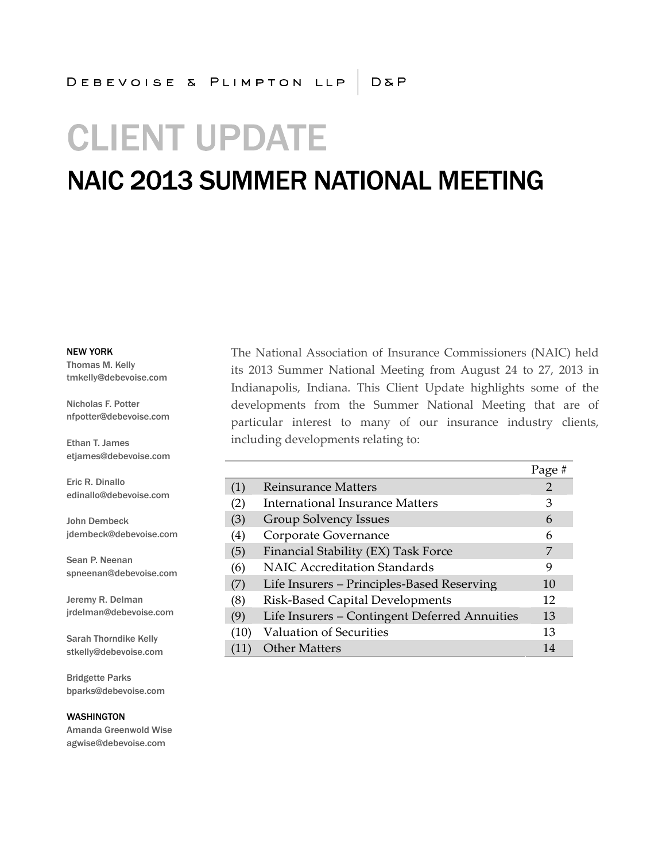# **CLIENT UPDATE**

### **NAIC 2013 SUMMER NATIONAL MEETING**

NEW YORK

Thomas M. Kelly tmkelly@debevoise.com

Nicholas F. Potter nfpotter@debevoise.com

Ethan T. James etjames@debevoise.com

Eric R. Dinallo edinallo@debevoise.com

John Dembeck jdembeck@debevoise.com

Sean P. Neenan spneenan@debevoise.com

Jeremy R. Delman jrdelman@debevoise.com

Sarah Thorndike Kelly stkelly@debevoise.com

Bridgette Parks bparks@debevoise.com

WASHINGTON Amanda Greenwold Wise agwise@debevoise.com

The National Association of Insurance Commissioners (NAIC) held its 2013 Summer National Meeting from August 24 to 27, 2013 in Indianapolis, Indiana. This Client Update highlights some of the developments from the Summer National Meeting that are of particular interest to many of our insurance industry clients, including developments relating to:

|      |                                               | Page# |
|------|-----------------------------------------------|-------|
| (1)  | Reinsurance Matters                           | 2     |
| (2)  | International Insurance Matters               | 3     |
| (3)  | <b>Group Solvency Issues</b>                  | 6     |
| (4)  | Corporate Governance                          | 6     |
| (5)  | Financial Stability (EX) Task Force           | 7     |
| (6)  | <b>NAIC Accreditation Standards</b>           | 9     |
| (7)  | Life Insurers - Principles-Based Reserving    | 10    |
| (8)  | Risk-Based Capital Developments               | 12    |
| (9)  | Life Insurers - Contingent Deferred Annuities | 13    |
| (10) | Valuation of Securities                       | 13    |
|      | <b>Other Matters</b>                          | 14    |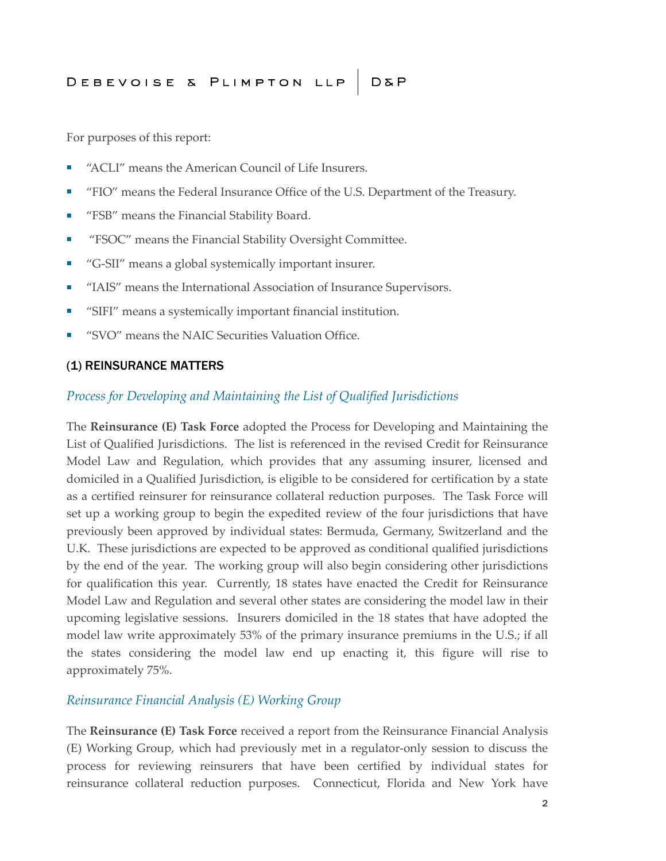For purposes of this report:

- "ACLI" means the American Council of Life Insurers.
- "FIO" means the Federal Insurance Office of the U.S. Department of the Treasury.
- "FSB" means the Financial Stability Board.
- "FSOC" means the Financial Stability Oversight Committee.
- "G-SII" means a global systemically important insurer.
- "IAIS" means the International Association of Insurance Supervisors.
- "SIFI" means a systemically important financial institution.
- "SVO" means the NAIC Securities Valuation Office.

#### (1) REINSURANCE MATTERS

#### *Process for Developing and Maintaining the List of Qualified Jurisdictions*

The **Reinsurance (E) Task Force** adopted the Process for Developing and Maintaining the List of Qualified Jurisdictions. The list is referenced in the revised Credit for Reinsurance Model Law and Regulation, which provides that any assuming insurer, licensed and domiciled in a Qualified Jurisdiction, is eligible to be considered for certification by a state as a certified reinsurer for reinsurance collateral reduction purposes. The Task Force will set up a working group to begin the expedited review of the four jurisdictions that have previously been approved by individual states: Bermuda, Germany, Switzerland and the U.K. These jurisdictions are expected to be approved as conditional qualified jurisdictions by the end of the year. The working group will also begin considering other jurisdictions for qualification this year. Currently, 18 states have enacted the Credit for Reinsurance Model Law and Regulation and several other states are considering the model law in their upcoming legislative sessions. Insurers domiciled in the 18 states that have adopted the model law write approximately 53% of the primary insurance premiums in the U.S.; if all the states considering the model law end up enacting it, this figure will rise to approximately 75%.

#### *Reinsurance Financial Analysis (E) Working Group*

The **Reinsurance (E) Task Force** received a report from the Reinsurance Financial Analysis (E) Working Group, which had previously met in a regulator-only session to discuss the process for reviewing reinsurers that have been certified by individual states for reinsurance collateral reduction purposes. Connecticut, Florida and New York have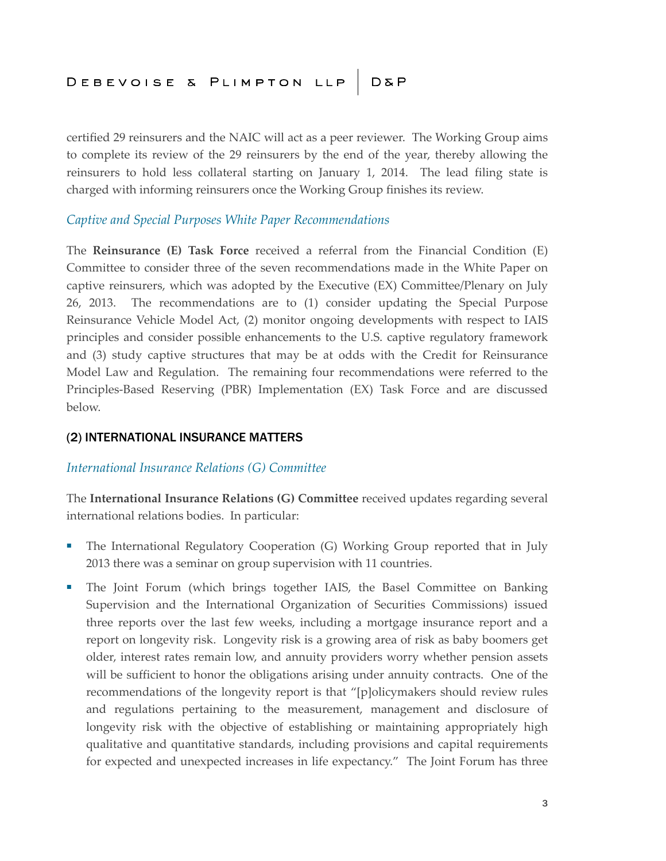certified 29 reinsurers and the NAIC will act as a peer reviewer. The Working Group aims to complete its review of the 29 reinsurers by the end of the year, thereby allowing the reinsurers to hold less collateral starting on January 1, 2014. The lead filing state is charged with informing reinsurers once the Working Group finishes its review.

#### *Captive and Special Purposes White Paper Recommendations*

The **Reinsurance (E) Task Force** received a referral from the Financial Condition (E) Committee to consider three of the seven recommendations made in the White Paper on captive reinsurers, which was adopted by the Executive (EX) Committee/Plenary on July 26, 2013. The recommendations are to (1) consider updating the Special Purpose Reinsurance Vehicle Model Act, (2) monitor ongoing developments with respect to IAIS principles and consider possible enhancements to the U.S. captive regulatory framework and (3) study captive structures that may be at odds with the Credit for Reinsurance Model Law and Regulation. The remaining four recommendations were referred to the Principles-Based Reserving (PBR) Implementation (EX) Task Force and are discussed below.

#### (2) INTERNATIONAL INSURANCE MATTERS

#### *International Insurance Relations (G) Committee*

The **International Insurance Relations (G) Committee** received updates regarding several international relations bodies. In particular:

- The International Regulatory Cooperation (G) Working Group reported that in July 2013 there was a seminar on group supervision with 11 countries.
- The Joint Forum (which brings together IAIS, the Basel Committee on Banking Supervision and the International Organization of Securities Commissions) issued three reports over the last few weeks, including a mortgage insurance report and a report on longevity risk. Longevity risk is a growing area of risk as baby boomers get older, interest rates remain low, and annuity providers worry whether pension assets will be sufficient to honor the obligations arising under annuity contracts. One of the recommendations of the longevity report is that "[p]olicymakers should review rules and regulations pertaining to the measurement, management and disclosure of longevity risk with the objective of establishing or maintaining appropriately high qualitative and quantitative standards, including provisions and capital requirements for expected and unexpected increases in life expectancy." The Joint Forum has three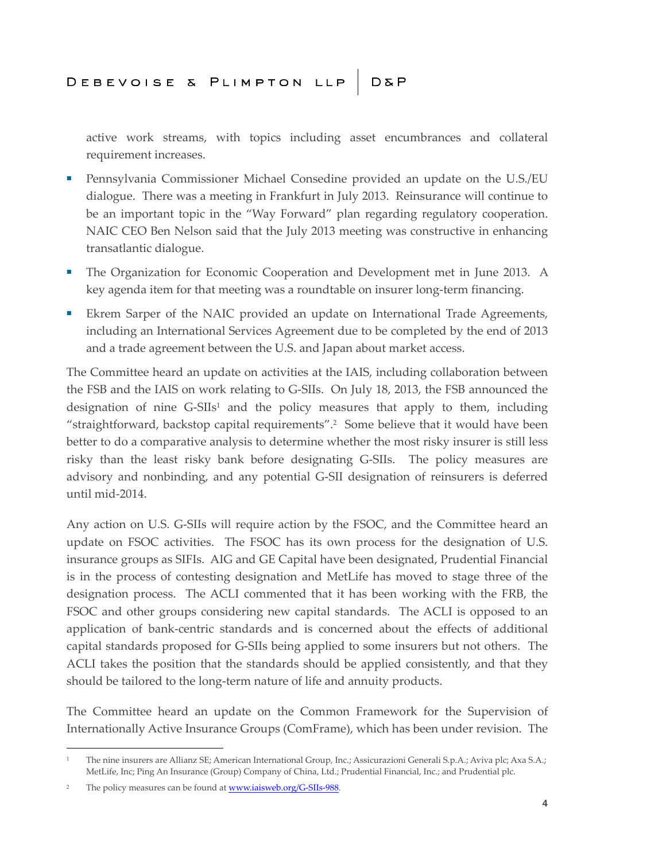active work streams, with topics including asset encumbrances and collateral requirement increases.

- Pennsylvania Commissioner Michael Consedine provided an update on the U.S./EU dialogue. There was a meeting in Frankfurt in July 2013. Reinsurance will continue to be an important topic in the "Way Forward" plan regarding regulatory cooperation. NAIC CEO Ben Nelson said that the July 2013 meeting was constructive in enhancing transatlantic dialogue.
- The Organization for Economic Cooperation and Development met in June 2013. A key agenda item for that meeting was a roundtable on insurer long-term financing.
- Ekrem Sarper of the NAIC provided an update on International Trade Agreements, including an International Services Agreement due to be completed by the end of 2013 and a trade agreement between the U.S. and Japan about market access.

The Committee heard an update on activities at the IAIS, including collaboration between the FSB and the IAIS on work relating to G-SIIs. On July 18, 2013, the FSB announced the designation of nine  $G-SIIs<sup>1</sup>$  and the policy measures that apply to them, including "straightforward, backstop capital requirements".<sup>2</sup> Some believe that it would have been better to do a comparative analysis to determine whether the most risky insurer is still less risky than the least risky bank before designating G-SIIs. The policy measures are advisory and nonbinding, and any potential G-SII designation of reinsurers is deferred until mid-2014.

Any action on U.S. G-SIIs will require action by the FSOC, and the Committee heard an update on FSOC activities. The FSOC has its own process for the designation of U.S. insurance groups as SIFIs. AIG and GE Capital have been designated, Prudential Financial is in the process of contesting designation and MetLife has moved to stage three of the designation process. The ACLI commented that it has been working with the FRB, the FSOC and other groups considering new capital standards. The ACLI is opposed to an application of bank-centric standards and is concerned about the effects of additional capital standards proposed for G-SIIs being applied to some insurers but not others. The ACLI takes the position that the standards should be applied consistently, and that they should be tailored to the long-term nature of life and annuity products.

The Committee heard an update on the Common Framework for the Supervision of Internationally Active Insurance Groups (ComFrame), which has been under revision. The

<sup>&</sup>lt;sup>1</sup> The nine insurers are Allianz SE; American International Group, Inc.; Assicurazioni Generali S.p.A.; Aviva plc; Axa S.A.; MetLife, Inc; Ping An Insurance (Group) Company of China, Ltd.; Prudential Financial, Inc.; and Prudential plc.

<sup>&</sup>lt;sup>2</sup> The policy measures can be found at **www.iaisweb.org/G-SIIs-988**.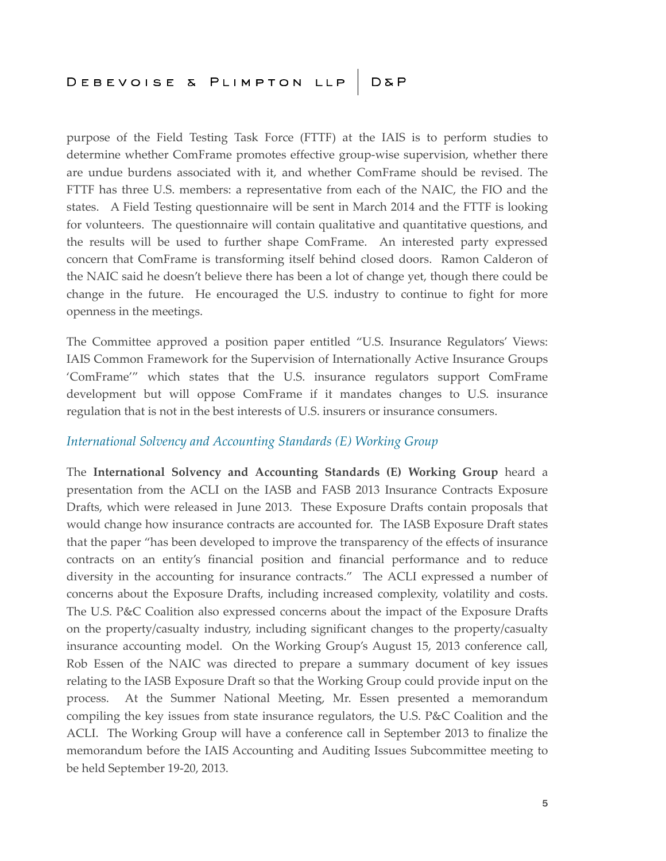purpose of the Field Testing Task Force (FTTF) at the IAIS is to perform studies to determine whether ComFrame promotes effective group-wise supervision, whether there are undue burdens associated with it, and whether ComFrame should be revised. The FTTF has three U.S. members: a representative from each of the NAIC, the FIO and the states. A Field Testing questionnaire will be sent in March 2014 and the FTTF is looking for volunteers. The questionnaire will contain qualitative and quantitative questions, and the results will be used to further shape ComFrame. An interested party expressed concern that ComFrame is transforming itself behind closed doors. Ramon Calderon of the NAIC said he doesn't believe there has been a lot of change yet, though there could be change in the future. He encouraged the U.S. industry to continue to fight for more openness in the meetings.

The Committee approved a position paper entitled "U.S. Insurance Regulators' Views: IAIS Common Framework for the Supervision of Internationally Active Insurance Groups 'ComFrame'" which states that the U.S. insurance regulators support ComFrame development but will oppose ComFrame if it mandates changes to U.S. insurance regulation that is not in the best interests of U.S. insurers or insurance consumers.

#### *International Solvency and Accounting Standards (E) Working Group*

The **International Solvency and Accounting Standards (E) Working Group** heard a presentation from the ACLI on the IASB and FASB 2013 Insurance Contracts Exposure Drafts, which were released in June 2013. These Exposure Drafts contain proposals that would change how insurance contracts are accounted for. The IASB Exposure Draft states that the paper "has been developed to improve the transparency of the effects of insurance contracts on an entity's financial position and financial performance and to reduce diversity in the accounting for insurance contracts." The ACLI expressed a number of concerns about the Exposure Drafts, including increased complexity, volatility and costs. The U.S. P&C Coalition also expressed concerns about the impact of the Exposure Drafts on the property/casualty industry, including significant changes to the property/casualty insurance accounting model. On the Working Group's August 15, 2013 conference call, Rob Essen of the NAIC was directed to prepare a summary document of key issues relating to the IASB Exposure Draft so that the Working Group could provide input on the process. At the Summer National Meeting, Mr. Essen presented a memorandum compiling the key issues from state insurance regulators, the U.S. P&C Coalition and the ACLI. The Working Group will have a conference call in September 2013 to finalize the memorandum before the IAIS Accounting and Auditing Issues Subcommittee meeting to be held September 19-20, 2013.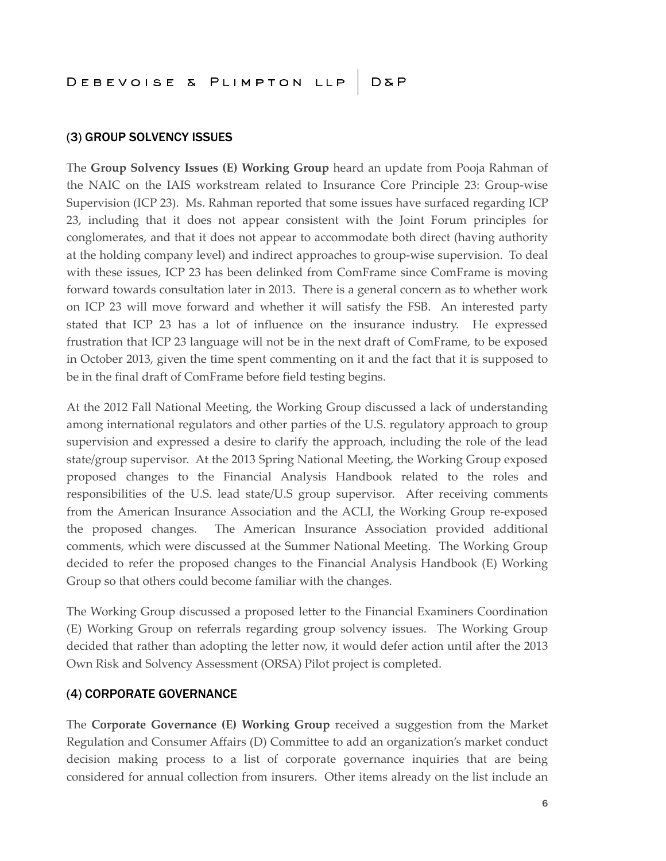#### (3) GROUP SOLVENCY ISSUES

The **Group Solvency Issues (E) Working Group** heard an update from Pooja Rahman of the NAIC on the IAIS workstream related to Insurance Core Principle 23: Group-wise Supervision (ICP 23). Ms. Rahman reported that some issues have surfaced regarding ICP 23, including that it does not appear consistent with the Joint Forum principles for conglomerates, and that it does not appear to accommodate both direct (having authority at the holding company level) and indirect approaches to group-wise supervision. To deal with these issues, ICP 23 has been delinked from ComFrame since ComFrame is moving forward towards consultation later in 2013. There is a general concern as to whether work on ICP 23 will move forward and whether it will satisfy the FSB. An interested party stated that ICP 23 has a lot of influence on the insurance industry. He expressed frustration that ICP 23 language will not be in the next draft of ComFrame, to be exposed in October 2013, given the time spent commenting on it and the fact that it is supposed to be in the final draft of ComFrame before field testing begins.

At the 2012 Fall National Meeting, the Working Group discussed a lack of understanding among international regulators and other parties of the U.S. regulatory approach to group supervision and expressed a desire to clarify the approach, including the role of the lead state/group supervisor. At the 2013 Spring National Meeting, the Working Group exposed proposed changes to the Financial Analysis Handbook related to the roles and responsibilities of the U.S. lead state/U.S group supervisor. After receiving comments from the American Insurance Association and the ACLI, the Working Group re-exposed the proposed changes. The American Insurance Association provided additional comments, which were discussed at the Summer National Meeting. The Working Group decided to refer the proposed changes to the Financial Analysis Handbook (E) Working Group so that others could become familiar with the changes.

The Working Group discussed a proposed letter to the Financial Examiners Coordination (E) Working Group on referrals regarding group solvency issues. The Working Group decided that rather than adopting the letter now, it would defer action until after the 2013 Own Risk and Solvency Assessment (ORSA) Pilot project is completed.

#### (4) CORPORATE GOVERNANCE

The **Corporate Governance (E) Working Group** received a suggestion from the Market Regulation and Consumer Affairs (D) Committee to add an organization's market conduct decision making process to a list of corporate governance inquiries that are being considered for annual collection from insurers. Other items already on the list include an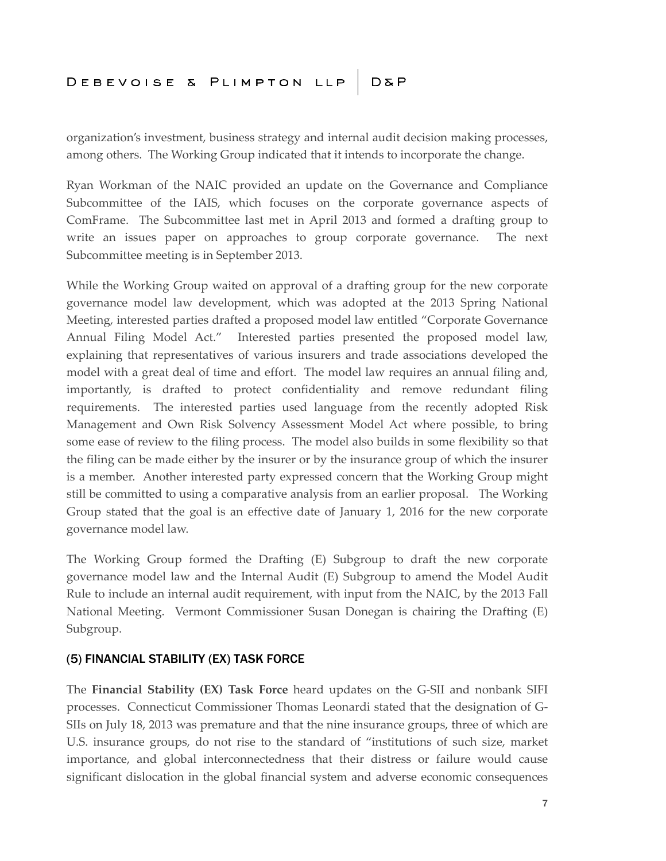organization's investment, business strategy and internal audit decision making processes, among others. The Working Group indicated that it intends to incorporate the change.

Ryan Workman of the NAIC provided an update on the Governance and Compliance Subcommittee of the IAIS, which focuses on the corporate governance aspects of ComFrame. The Subcommittee last met in April 2013 and formed a drafting group to write an issues paper on approaches to group corporate governance. The next Subcommittee meeting is in September 2013.

While the Working Group waited on approval of a drafting group for the new corporate governance model law development, which was adopted at the 2013 Spring National Meeting, interested parties drafted a proposed model law entitled "Corporate Governance Annual Filing Model Act." Interested parties presented the proposed model law, explaining that representatives of various insurers and trade associations developed the model with a great deal of time and effort. The model law requires an annual filing and, importantly, is drafted to protect confidentiality and remove redundant filing requirements. The interested parties used language from the recently adopted Risk Management and Own Risk Solvency Assessment Model Act where possible, to bring some ease of review to the filing process. The model also builds in some flexibility so that the filing can be made either by the insurer or by the insurance group of which the insurer is a member. Another interested party expressed concern that the Working Group might still be committed to using a comparative analysis from an earlier proposal. The Working Group stated that the goal is an effective date of January 1, 2016 for the new corporate governance model law.

The Working Group formed the Drafting (E) Subgroup to draft the new corporate governance model law and the Internal Audit (E) Subgroup to amend the Model Audit Rule to include an internal audit requirement, with input from the NAIC, by the 2013 Fall National Meeting. Vermont Commissioner Susan Donegan is chairing the Drafting (E) Subgroup.

#### (5) FINANCIAL STABILITY (EX) TASK FORCE

The **Financial Stability (EX) Task Force** heard updates on the G-SII and nonbank SIFI processes. Connecticut Commissioner Thomas Leonardi stated that the designation of G-SIIs on July 18, 2013 was premature and that the nine insurance groups, three of which are U.S. insurance groups, do not rise to the standard of "institutions of such size, market importance, and global interconnectedness that their distress or failure would cause significant dislocation in the global financial system and adverse economic consequences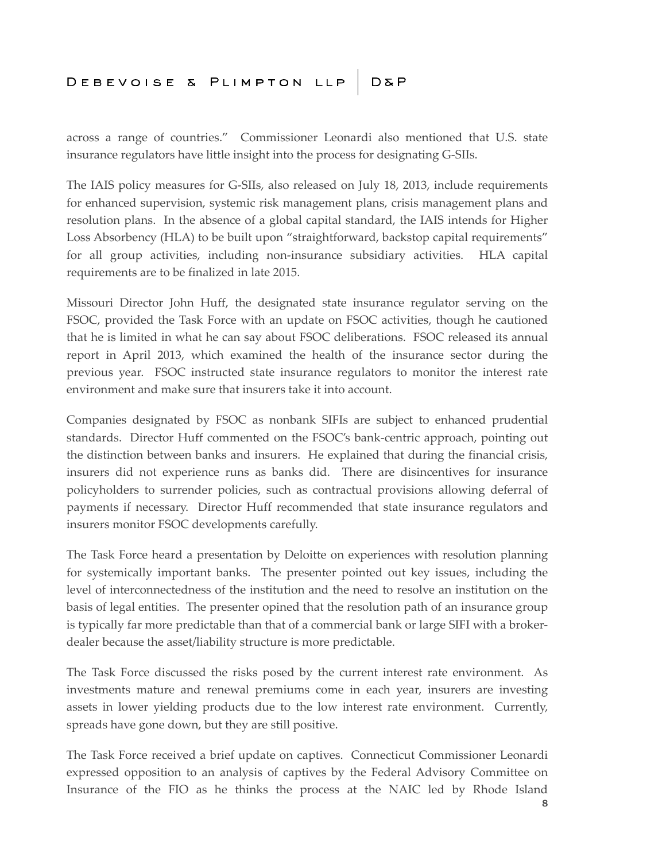across a range of countries." Commissioner Leonardi also mentioned that U.S. state insurance regulators have little insight into the process for designating G-SIIs.

The IAIS policy measures for G-SIIs, also released on July 18, 2013, include requirements for enhanced supervision, systemic risk management plans, crisis management plans and resolution plans. In the absence of a global capital standard, the IAIS intends for Higher Loss Absorbency (HLA) to be built upon "straightforward, backstop capital requirements" for all group activities, including non-insurance subsidiary activities. HLA capital requirements are to be finalized in late 2015.

Missouri Director John Huff, the designated state insurance regulator serving on the FSOC, provided the Task Force with an update on FSOC activities, though he cautioned that he is limited in what he can say about FSOC deliberations. FSOC released its annual report in April 2013, which examined the health of the insurance sector during the previous year. FSOC instructed state insurance regulators to monitor the interest rate environment and make sure that insurers take it into account.

Companies designated by FSOC as nonbank SIFIs are subject to enhanced prudential standards. Director Huff commented on the FSOC's bank-centric approach, pointing out the distinction between banks and insurers. He explained that during the financial crisis, insurers did not experience runs as banks did. There are disincentives for insurance policyholders to surrender policies, such as contractual provisions allowing deferral of payments if necessary. Director Huff recommended that state insurance regulators and insurers monitor FSOC developments carefully.

The Task Force heard a presentation by Deloitte on experiences with resolution planning for systemically important banks. The presenter pointed out key issues, including the level of interconnectedness of the institution and the need to resolve an institution on the basis of legal entities. The presenter opined that the resolution path of an insurance group is typically far more predictable than that of a commercial bank or large SIFI with a brokerdealer because the asset/liability structure is more predictable.

The Task Force discussed the risks posed by the current interest rate environment. As investments mature and renewal premiums come in each year, insurers are investing assets in lower yielding products due to the low interest rate environment. Currently, spreads have gone down, but they are still positive.

The Task Force received a brief update on captives. Connecticut Commissioner Leonardi expressed opposition to an analysis of captives by the Federal Advisory Committee on Insurance of the FIO as he thinks the process at the NAIC led by Rhode Island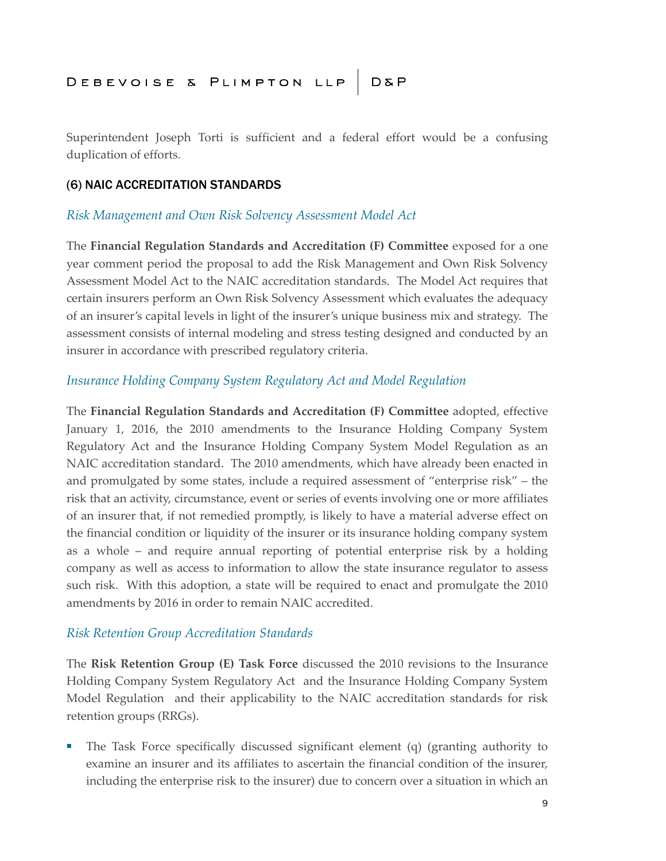Superintendent Joseph Torti is sufficient and a federal effort would be a confusing duplication of efforts.

#### (6) NAIC ACCREDITATION STANDARDS

#### *Risk Management and Own Risk Solvency Assessment Model Act*

The **Financial Regulation Standards and Accreditation (F) Committee** exposed for a one year comment period the proposal to add the Risk Management and Own Risk Solvency Assessment Model Act to the NAIC accreditation standards. The Model Act requires that certain insurers perform an Own Risk Solvency Assessment which evaluates the adequacy of an insurer's capital levels in light of the insurer's unique business mix and strategy. The assessment consists of internal modeling and stress testing designed and conducted by an insurer in accordance with prescribed regulatory criteria.

#### *Insurance Holding Company System Regulatory Act and Model Regulation*

The **Financial Regulation Standards and Accreditation (F) Committee** adopted, effective January 1, 2016, the 2010 amendments to the Insurance Holding Company System Regulatory Act and the Insurance Holding Company System Model Regulation as an NAIC accreditation standard. The 2010 amendments, which have already been enacted in and promulgated by some states, include a required assessment of "enterprise risk" – the risk that an activity, circumstance, event or series of events involving one or more affiliates of an insurer that, if not remedied promptly, is likely to have a material adverse effect on the financial condition or liquidity of the insurer or its insurance holding company system as a whole – and require annual reporting of potential enterprise risk by a holding company as well as access to information to allow the state insurance regulator to assess such risk. With this adoption, a state will be required to enact and promulgate the 2010 amendments by 2016 in order to remain NAIC accredited.

#### *Risk Retention Group Accreditation Standards*

The **Risk Retention Group (E) Task Force** discussed the 2010 revisions to the Insurance Holding Company System Regulatory Act and the Insurance Holding Company System Model Regulation and their applicability to the NAIC accreditation standards for risk retention groups (RRGs).

■ The Task Force specifically discussed significant element (q) (granting authority to examine an insurer and its affiliates to ascertain the financial condition of the insurer, including the enterprise risk to the insurer) due to concern over a situation in which an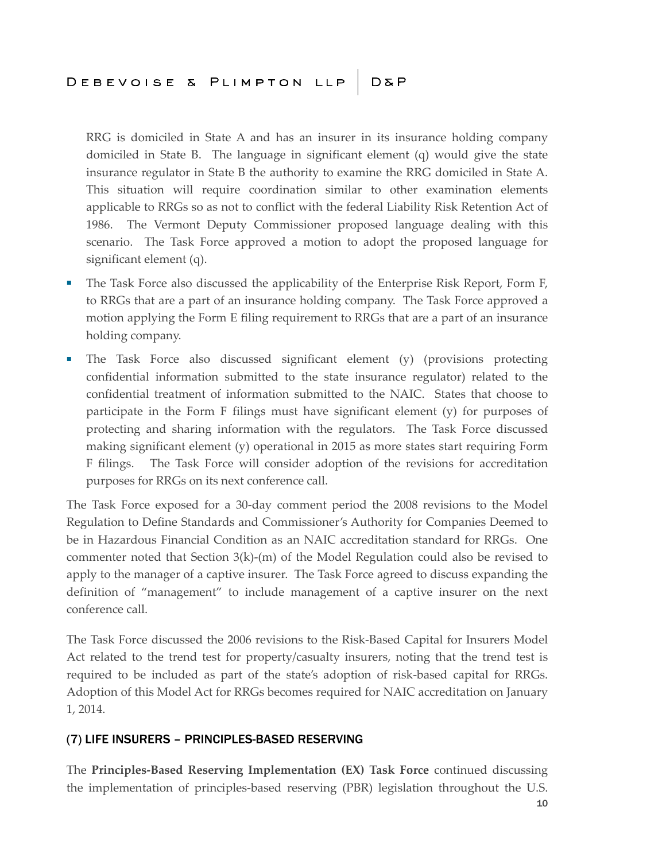RRG is domiciled in State A and has an insurer in its insurance holding company domiciled in State B. The language in significant element (q) would give the state insurance regulator in State B the authority to examine the RRG domiciled in State A. This situation will require coordination similar to other examination elements applicable to RRGs so as not to conflict with the federal Liability Risk Retention Act of 1986. The Vermont Deputy Commissioner proposed language dealing with this scenario. The Task Force approved a motion to adopt the proposed language for significant element (q).

- The Task Force also discussed the applicability of the Enterprise Risk Report, Form F, to RRGs that are a part of an insurance holding company. The Task Force approved a motion applying the Form E filing requirement to RRGs that are a part of an insurance holding company.
- The Task Force also discussed significant element (y) (provisions protecting confidential information submitted to the state insurance regulator) related to the confidential treatment of information submitted to the NAIC. States that choose to participate in the Form F filings must have significant element (y) for purposes of protecting and sharing information with the regulators. The Task Force discussed making significant element (y) operational in 2015 as more states start requiring Form F filings. The Task Force will consider adoption of the revisions for accreditation purposes for RRGs on its next conference call.

The Task Force exposed for a 30-day comment period the 2008 revisions to the Model Regulation to Define Standards and Commissioner's Authority for Companies Deemed to be in Hazardous Financial Condition as an NAIC accreditation standard for RRGs. One commenter noted that Section 3(k)-(m) of the Model Regulation could also be revised to apply to the manager of a captive insurer. The Task Force agreed to discuss expanding the definition of "management" to include management of a captive insurer on the next conference call.

The Task Force discussed the 2006 revisions to the Risk-Based Capital for Insurers Model Act related to the trend test for property/casualty insurers, noting that the trend test is required to be included as part of the state's adoption of risk-based capital for RRGs. Adoption of this Model Act for RRGs becomes required for NAIC accreditation on January 1, 2014.

#### (7) LIFE INSURERS – PRINCIPLES-BASED RESERVING

The **Principles-Based Reserving Implementation (EX) Task Force** continued discussing the implementation of principles-based reserving (PBR) legislation throughout the U.S.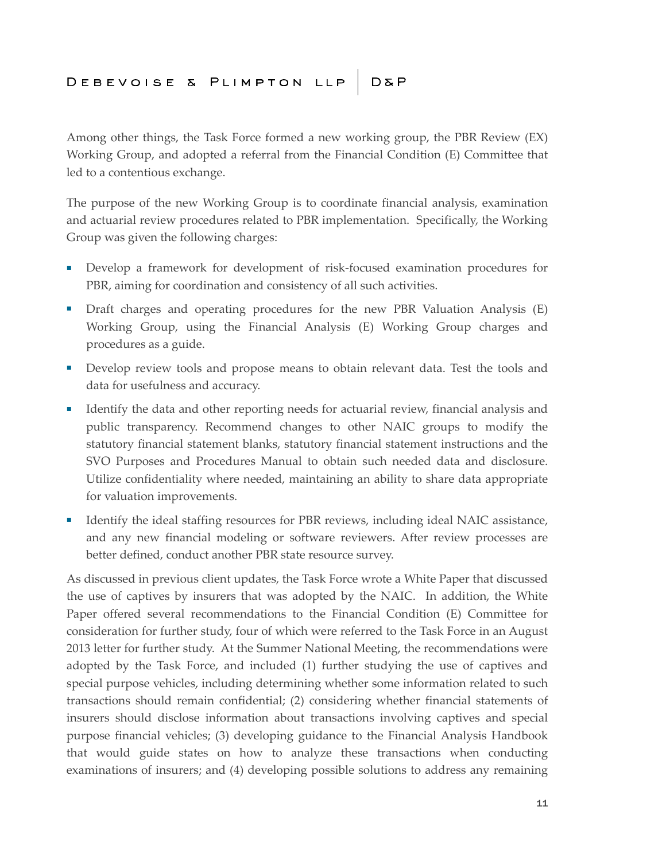Among other things, the Task Force formed a new working group, the PBR Review (EX) Working Group, and adopted a referral from the Financial Condition (E) Committee that led to a contentious exchange.

The purpose of the new Working Group is to coordinate financial analysis, examination and actuarial review procedures related to PBR implementation. Specifically, the Working Group was given the following charges:

- Develop a framework for development of risk-focused examination procedures for PBR, aiming for coordination and consistency of all such activities.
- Draft charges and operating procedures for the new PBR Valuation Analysis (E) Working Group, using the Financial Analysis (E) Working Group charges and procedures as a guide.
- Develop review tools and propose means to obtain relevant data. Test the tools and data for usefulness and accuracy.
- Identify the data and other reporting needs for actuarial review, financial analysis and public transparency. Recommend changes to other NAIC groups to modify the statutory financial statement blanks, statutory financial statement instructions and the SVO Purposes and Procedures Manual to obtain such needed data and disclosure. Utilize confidentiality where needed, maintaining an ability to share data appropriate for valuation improvements.
- Identify the ideal staffing resources for PBR reviews, including ideal NAIC assistance, and any new financial modeling or software reviewers. After review processes are better defined, conduct another PBR state resource survey.

As discussed in previous client updates, the Task Force wrote a White Paper that discussed the use of captives by insurers that was adopted by the NAIC. In addition, the White Paper offered several recommendations to the Financial Condition (E) Committee for consideration for further study, four of which were referred to the Task Force in an August 2013 letter for further study. At the Summer National Meeting, the recommendations were adopted by the Task Force, and included (1) further studying the use of captives and special purpose vehicles, including determining whether some information related to such transactions should remain confidential; (2) considering whether financial statements of insurers should disclose information about transactions involving captives and special purpose financial vehicles; (3) developing guidance to the Financial Analysis Handbook that would guide states on how to analyze these transactions when conducting examinations of insurers; and (4) developing possible solutions to address any remaining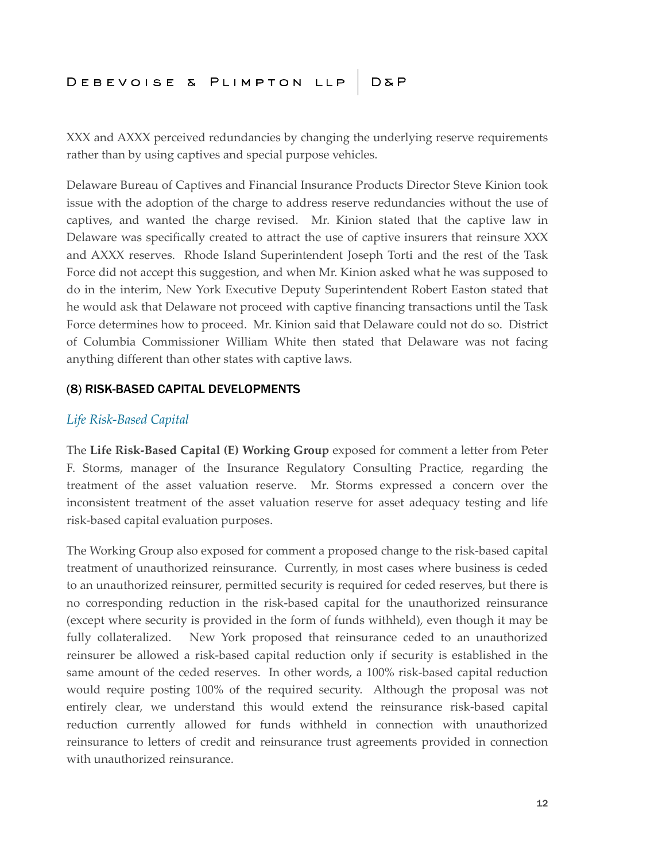XXX and AXXX perceived redundancies by changing the underlying reserve requirements rather than by using captives and special purpose vehicles.

Delaware Bureau of Captives and Financial Insurance Products Director Steve Kinion took issue with the adoption of the charge to address reserve redundancies without the use of captives, and wanted the charge revised. Mr. Kinion stated that the captive law in Delaware was specifically created to attract the use of captive insurers that reinsure XXX and AXXX reserves. Rhode Island Superintendent Joseph Torti and the rest of the Task Force did not accept this suggestion, and when Mr. Kinion asked what he was supposed to do in the interim, New York Executive Deputy Superintendent Robert Easton stated that he would ask that Delaware not proceed with captive financing transactions until the Task Force determines how to proceed. Mr. Kinion said that Delaware could not do so. District of Columbia Commissioner William White then stated that Delaware was not facing anything different than other states with captive laws.

#### (8) RISK-BASED CAPITAL DEVELOPMENTS

#### *Life Risk-Based Capital*

The **Life Risk-Based Capital (E) Working Group** exposed for comment a letter from Peter F. Storms, manager of the Insurance Regulatory Consulting Practice, regarding the treatment of the asset valuation reserve. Mr. Storms expressed a concern over the inconsistent treatment of the asset valuation reserve for asset adequacy testing and life risk-based capital evaluation purposes.

The Working Group also exposed for comment a proposed change to the risk-based capital treatment of unauthorized reinsurance. Currently, in most cases where business is ceded to an unauthorized reinsurer, permitted security is required for ceded reserves, but there is no corresponding reduction in the risk-based capital for the unauthorized reinsurance (except where security is provided in the form of funds withheld), even though it may be fully collateralized. New York proposed that reinsurance ceded to an unauthorized reinsurer be allowed a risk-based capital reduction only if security is established in the same amount of the ceded reserves. In other words, a 100% risk-based capital reduction would require posting 100% of the required security. Although the proposal was not entirely clear, we understand this would extend the reinsurance risk-based capital reduction currently allowed for funds withheld in connection with unauthorized reinsurance to letters of credit and reinsurance trust agreements provided in connection with unauthorized reinsurance.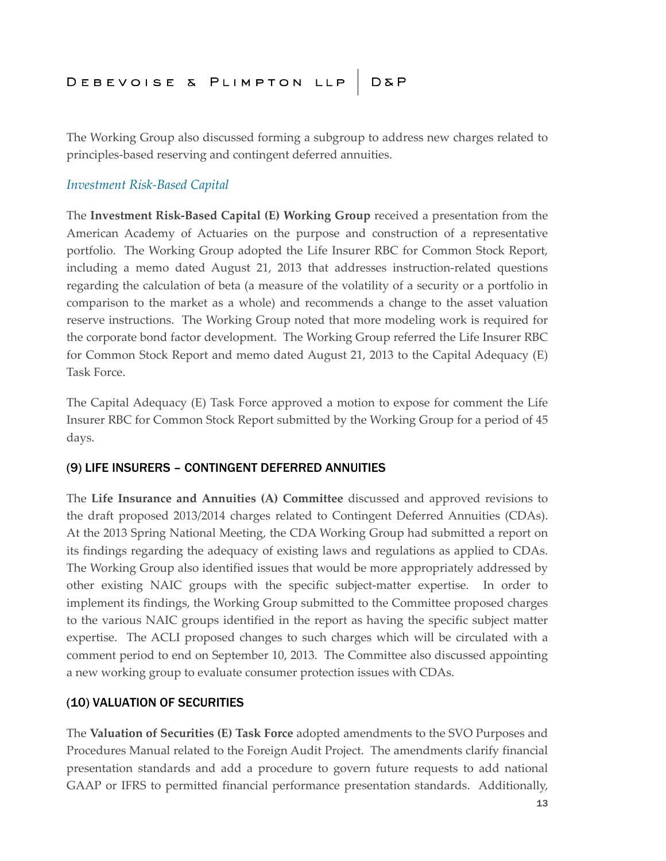The Working Group also discussed forming a subgroup to address new charges related to principles-based reserving and contingent deferred annuities.

#### *Investment Risk-Based Capital*

The **Investment Risk-Based Capital (E) Working Group** received a presentation from the American Academy of Actuaries on the purpose and construction of a representative portfolio. The Working Group adopted the Life Insurer RBC for Common Stock Report, including a memo dated August 21, 2013 that addresses instruction-related questions regarding the calculation of beta (a measure of the volatility of a security or a portfolio in comparison to the market as a whole) and recommends a change to the asset valuation reserve instructions. The Working Group noted that more modeling work is required for the corporate bond factor development. The Working Group referred the Life Insurer RBC for Common Stock Report and memo dated August 21, 2013 to the Capital Adequacy (E) Task Force.

The Capital Adequacy (E) Task Force approved a motion to expose for comment the Life Insurer RBC for Common Stock Report submitted by the Working Group for a period of 45 days.

#### (9) LIFE INSURERS – CONTINGENT DEFERRED ANNUITIES

The **Life Insurance and Annuities (A) Committee** discussed and approved revisions to the draft proposed 2013/2014 charges related to Contingent Deferred Annuities (CDAs). At the 2013 Spring National Meeting, the CDA Working Group had submitted a report on its findings regarding the adequacy of existing laws and regulations as applied to CDAs. The Working Group also identified issues that would be more appropriately addressed by other existing NAIC groups with the specific subject-matter expertise. In order to implement its findings, the Working Group submitted to the Committee proposed charges to the various NAIC groups identified in the report as having the specific subject matter expertise. The ACLI proposed changes to such charges which will be circulated with a comment period to end on September 10, 2013. The Committee also discussed appointing a new working group to evaluate consumer protection issues with CDAs.

#### (10) VALUATION OF SECURITIES

The **Valuation of Securities (E) Task Force** adopted amendments to the SVO Purposes and Procedures Manual related to the Foreign Audit Project. The amendments clarify financial presentation standards and add a procedure to govern future requests to add national GAAP or IFRS to permitted financial performance presentation standards. Additionally,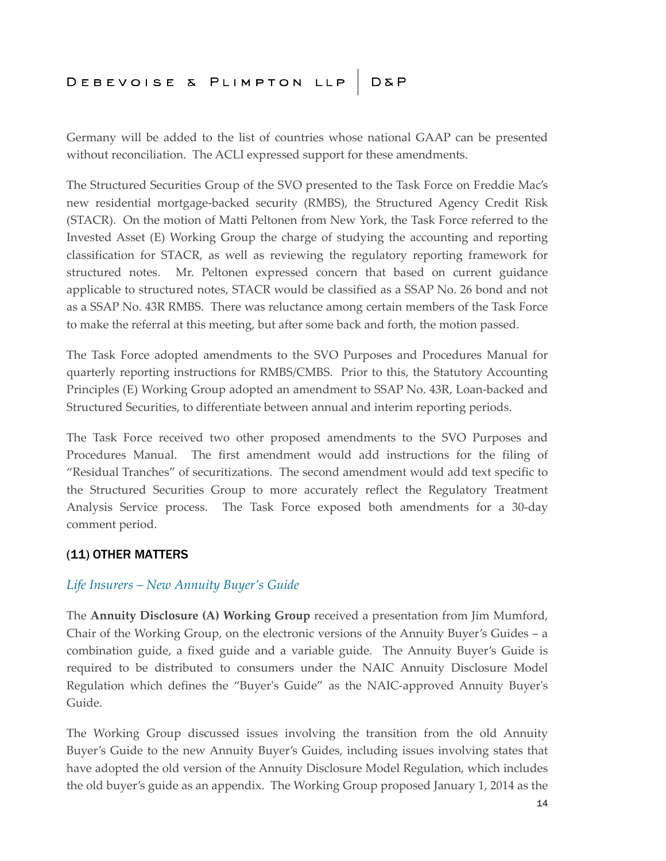Germany will be added to the list of countries whose national GAAP can be presented without reconciliation. The ACLI expressed support for these amendments.

The Structured Securities Group of the SVO presented to the Task Force on Freddie Mac's new residential mortgage-backed security (RMBS), the Structured Agency Credit Risk (STACR). On the motion of Matti Peltonen from New York, the Task Force referred to the Invested Asset (E) Working Group the charge of studying the accounting and reporting classification for STACR, as well as reviewing the regulatory reporting framework for structured notes. Mr. Peltonen expressed concern that based on current guidance applicable to structured notes, STACR would be classified as a SSAP No. 26 bond and not as a SSAP No. 43R RMBS. There was reluctance among certain members of the Task Force to make the referral at this meeting, but after some back and forth, the motion passed.

The Task Force adopted amendments to the SVO Purposes and Procedures Manual for quarterly reporting instructions for RMBS/CMBS. Prior to this, the Statutory Accounting Principles (E) Working Group adopted an amendment to SSAP No. 43R, Loan-backed and Structured Securities, to differentiate between annual and interim reporting periods.

The Task Force received two other proposed amendments to the SVO Purposes and Procedures Manual. The first amendment would add instructions for the filing of "Residual Tranches" of securitizations. The second amendment would add text specific to the Structured Securities Group to more accurately reflect the Regulatory Treatment Analysis Service process. The Task Force exposed both amendments for a 30-day comment period.

#### (11) OTHER MATTERS

#### *Life Insurers – New Annuity Buyer's Guide*

The **Annuity Disclosure (A) Working Group** received a presentation from Jim Mumford, Chair of the Working Group, on the electronic versions of the Annuity Buyer's Guides – a combination guide, a fixed guide and a variable guide. The Annuity Buyer's Guide is required to be distributed to consumers under the NAIC Annuity Disclosure Model Regulation which defines the "Buyer's Guide" as the NAIC-approved Annuity Buyer's Guide.

The Working Group discussed issues involving the transition from the old Annuity Buyer's Guide to the new Annuity Buyer's Guides, including issues involving states that have adopted the old version of the Annuity Disclosure Model Regulation, which includes the old buyer's guide as an appendix. The Working Group proposed January 1, 2014 as the